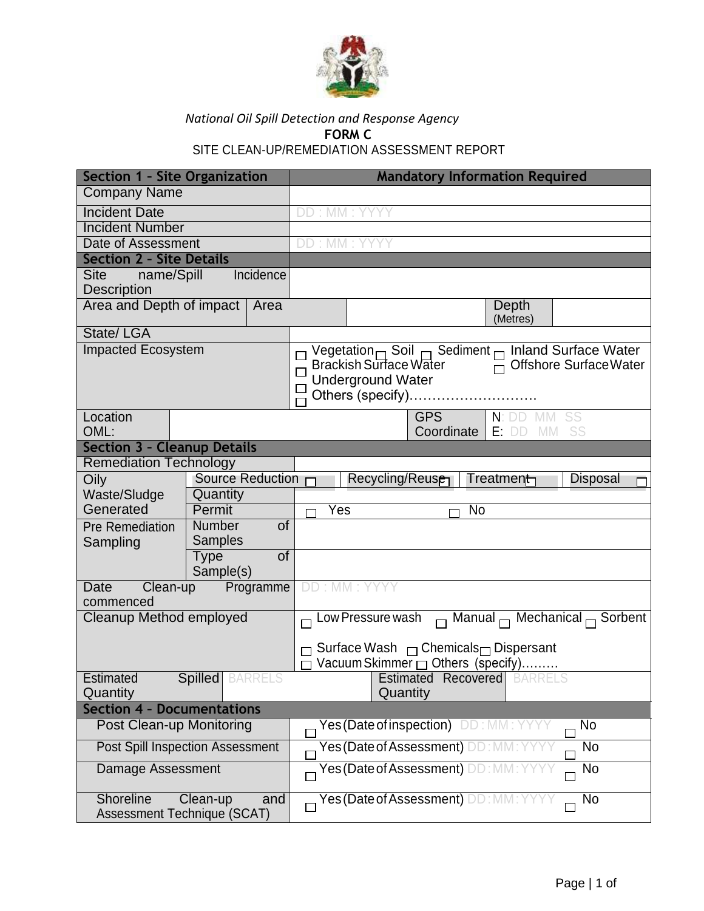

## *National Oil Spill Detection and Response Agency* **FORM C** SITE CLEAN-UP/REMEDIATION ASSESSMENT REPORT

| Section 1 - Site Organization                                 |                                 |                 | <b>Mandatory Information Required</b>                                        |  |  |
|---------------------------------------------------------------|---------------------------------|-----------------|------------------------------------------------------------------------------|--|--|
| <b>Company Name</b>                                           |                                 |                 |                                                                              |  |  |
| <b>Incident Date</b>                                          |                                 |                 | DD: MM: YYYY                                                                 |  |  |
| <b>Incident Number</b>                                        |                                 |                 |                                                                              |  |  |
| Date of Assessment                                            |                                 |                 | DD: MM: YYYY                                                                 |  |  |
| <b>Section 2 - Site Details</b>                               |                                 |                 |                                                                              |  |  |
| name/Spill<br>Site                                            |                                 | Incidence       |                                                                              |  |  |
| Description                                                   |                                 |                 |                                                                              |  |  |
| Area and Depth of impact<br>Area                              |                                 |                 | Depth<br>(Metres)                                                            |  |  |
| State/LGA                                                     |                                 |                 |                                                                              |  |  |
| <b>Impacted Ecosystem</b>                                     |                                 |                 | Vegetation $\Box$ Soil $\Box$ Sediment $\Box$ Inland Surface Water           |  |  |
|                                                               |                                 |                 | <b>Brackish Surface Water</b><br>$\overline{\sqcap}$ Offshore Surface Water  |  |  |
|                                                               |                                 |                 | <b>Underground Water</b><br>Others (specify)                                 |  |  |
|                                                               |                                 |                 |                                                                              |  |  |
| Location<br>OML:                                              |                                 |                 | <b>GPS</b><br>N:DD<br>SS<br>IV M<br>Coordinate<br>$E:$ DD<br><b>MM</b><br>SS |  |  |
| <b>Section 3 - Cleanup Details</b>                            |                                 |                 |                                                                              |  |  |
| <b>Remediation Technology</b>                                 |                                 |                 |                                                                              |  |  |
| Oily                                                          | Source Reduction $\Box$         |                 | Recycling/Reus <del>e</del><br>Treatment<br>Disposal                         |  |  |
| Waste/Sludge                                                  | Quantity                        |                 |                                                                              |  |  |
| Generated                                                     | Permit                          |                 | Yes<br>No                                                                    |  |  |
| Pre Remediation<br>Sampling                                   | <b>Number</b><br><b>Samples</b> | $\overline{of}$ |                                                                              |  |  |
|                                                               | <b>Type</b>                     | of              |                                                                              |  |  |
|                                                               | Sample(s)                       |                 |                                                                              |  |  |
| Programme<br>Date<br>Clean-up<br>commenced                    |                                 |                 | DD: MM: YYYY                                                                 |  |  |
| Cleanup Method employed                                       |                                 |                 | $\Box$ Low Pressure wash $\Box$ Manual $\Box$ Mechanical $\Box$ Sorbent      |  |  |
|                                                               |                                 |                 |                                                                              |  |  |
|                                                               |                                 |                 | $\Box$ Surface Wash $\Box$ Chemicals $\Box$ Dispersant                       |  |  |
|                                                               |                                 |                 | Vacuum Skimmer nothers (specify)                                             |  |  |
| <b>Spilled</b> BARRELS<br><b>Estimated</b>                    |                                 |                 | <b>Estimated Recovered</b> BARRELS                                           |  |  |
| Quantity                                                      |                                 |                 | Quantity                                                                     |  |  |
| <b>Section 4 - Documentations</b><br>Post Clean-up Monitoring |                                 |                 | Yes (Date of inspection) DD: MM: YYYY<br>No                                  |  |  |
| <b>Post Spill Inspection Assessment</b>                       |                                 |                 | Yes (Date of Assessment) DD: MM<br>No                                        |  |  |
|                                                               |                                 |                 |                                                                              |  |  |
| Damage Assessment                                             |                                 |                 | Yes (Date of Assessment) DD:<br>No                                           |  |  |
| Shoreline<br>Clean-up<br>and<br>Assessment Technique (SCAT)   |                                 |                 | Yes (Date of Assessment) DD: MN<br>No                                        |  |  |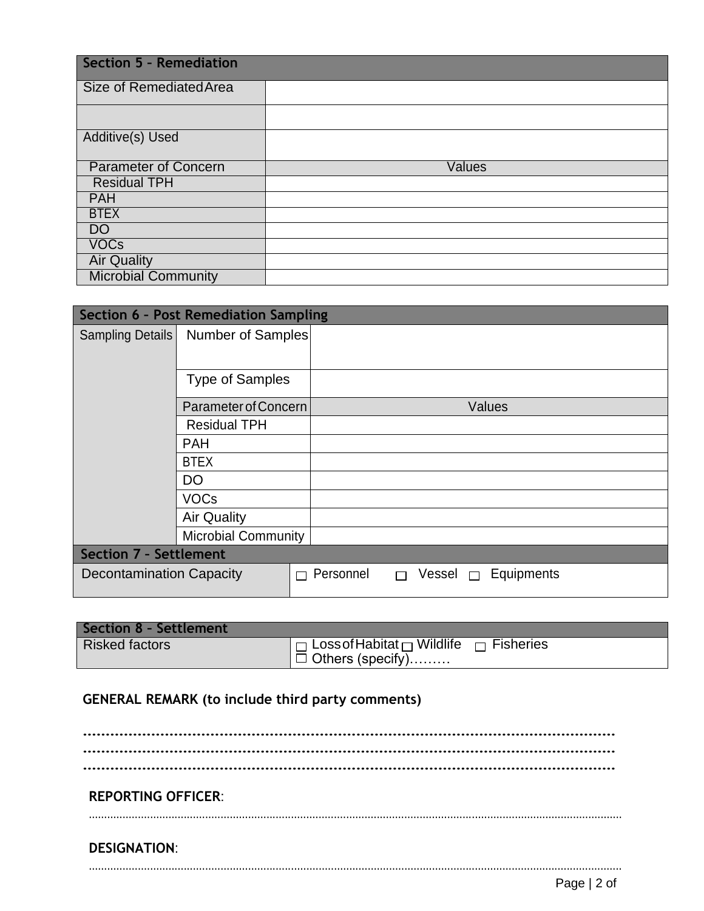| <b>Section 5 - Remediation</b> |        |  |  |
|--------------------------------|--------|--|--|
| Size of Remediated Area        |        |  |  |
|                                |        |  |  |
| Additive(s) Used               |        |  |  |
| <b>Parameter of Concern</b>    | Values |  |  |
| <b>Residual TPH</b>            |        |  |  |
| <b>PAH</b>                     |        |  |  |
| <b>BTEX</b>                    |        |  |  |
| <b>DO</b>                      |        |  |  |
| <b>VOCs</b>                    |        |  |  |
| <b>Air Quality</b>             |        |  |  |
| <b>Microbial Community</b>     |        |  |  |

| <b>Section 6 - Post Remediation Sampling</b> |                            |                                                    |  |  |  |  |
|----------------------------------------------|----------------------------|----------------------------------------------------|--|--|--|--|
| Sampling Details                             | Number of Samples          |                                                    |  |  |  |  |
|                                              |                            |                                                    |  |  |  |  |
|                                              | <b>Type of Samples</b>     |                                                    |  |  |  |  |
|                                              | Parameter of Concern       | Values                                             |  |  |  |  |
|                                              | <b>Residual TPH</b>        |                                                    |  |  |  |  |
|                                              | <b>PAH</b>                 |                                                    |  |  |  |  |
|                                              | <b>BTEX</b>                |                                                    |  |  |  |  |
|                                              | DO                         |                                                    |  |  |  |  |
|                                              | <b>VOCs</b>                |                                                    |  |  |  |  |
|                                              | <b>Air Quality</b>         |                                                    |  |  |  |  |
|                                              | <b>Microbial Community</b> |                                                    |  |  |  |  |
| <b>Section 7 - Settlement</b>                |                            |                                                    |  |  |  |  |
| <b>Decontamination Capacity</b><br>П         |                            | Personnel<br>Equipments<br>Vessel $\Box$<br>$\Box$ |  |  |  |  |

| <b>Section 8 - Settlement</b> |                                                                                        |  |
|-------------------------------|----------------------------------------------------------------------------------------|--|
| <b>Risked factors</b>         | $\P \Box$ Loss of Habitat $\P$ Wildlife $\P \Box$ Fisheries<br>$\Box$ Others (specify) |  |

## **GENERAL REMARK (to include third party comments)**

**……………………………………………………………………………………………………… ……………………………………………………………………………………………………… ……………………………………………………………………………………………………… REPORTING OFFICER**: .............................................................................................................................................................................. **DESIGNATION**: ..............................................................................................................................................................................